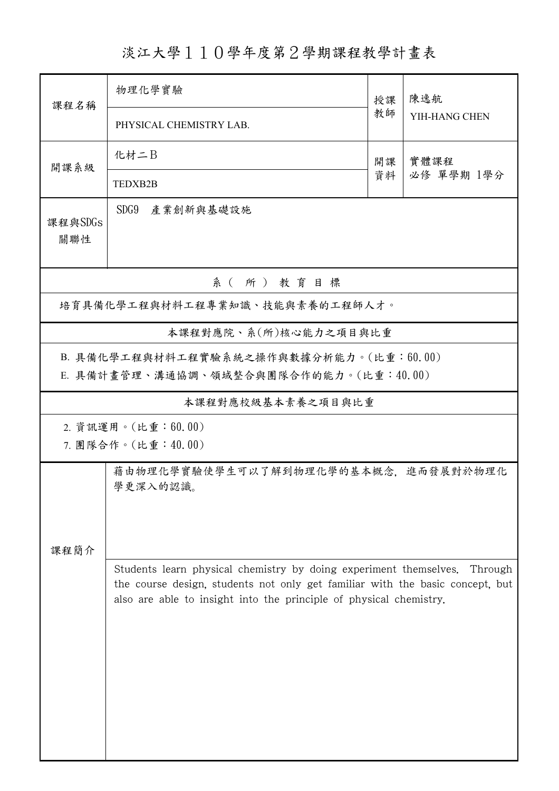淡江大學110學年度第2學期課程教學計畫表

| 課程名稱                                                                                                                                                                                                                     | 物理化學實驗                                          | 授課 | 陳逸航<br>YIH-HANG CHEN |  |  |  |  |  |  |  |
|--------------------------------------------------------------------------------------------------------------------------------------------------------------------------------------------------------------------------|-------------------------------------------------|----|----------------------|--|--|--|--|--|--|--|
|                                                                                                                                                                                                                          | PHYSICAL CHEMISTRY LAB.                         | 教師 |                      |  |  |  |  |  |  |  |
| 開課系級                                                                                                                                                                                                                     | 化材二B                                            | 開課 | 實體課程                 |  |  |  |  |  |  |  |
|                                                                                                                                                                                                                          | TEDXB2B                                         | 資料 | 必修 單學期 1學分           |  |  |  |  |  |  |  |
| 課程與SDGs<br>關聯性                                                                                                                                                                                                           | SDG9 產業創新與基礎設施                                  |    |                      |  |  |  |  |  |  |  |
| 系 (所) 教育目標                                                                                                                                                                                                               |                                                 |    |                      |  |  |  |  |  |  |  |
| 培育具備化學工程與材料工程專業知識、技能與素養的工程師人才。                                                                                                                                                                                           |                                                 |    |                      |  |  |  |  |  |  |  |
|                                                                                                                                                                                                                          | 本課程對應院、系(所)核心能力之項目與比重                           |    |                      |  |  |  |  |  |  |  |
| B. 具備化學工程與材料工程實驗系統之操作與數據分析能力。(比重:60.00)<br>E. 具備計畫管理、溝通協調、領域整合與團隊合作的能力。(比重:40.00)                                                                                                                                        |                                                 |    |                      |  |  |  |  |  |  |  |
|                                                                                                                                                                                                                          | 本課程對應校級基本素養之項目與比重                               |    |                      |  |  |  |  |  |  |  |
| 2. 資訊運用。(比重:60.00)<br>7. 團隊合作。(比重:40.00)                                                                                                                                                                                 |                                                 |    |                      |  |  |  |  |  |  |  |
| 課程簡介                                                                                                                                                                                                                     | 藉由物理化學實驗使學生可以了解到物理化學的基本概念,進而發展對於物理化<br>學更深入的認識。 |    |                      |  |  |  |  |  |  |  |
| Students learn physical chemistry by doing experiment themselves.<br>the course design, students not only get familiar with the basic concept, but<br>also are able to insight into the principle of physical chemistry. |                                                 |    |                      |  |  |  |  |  |  |  |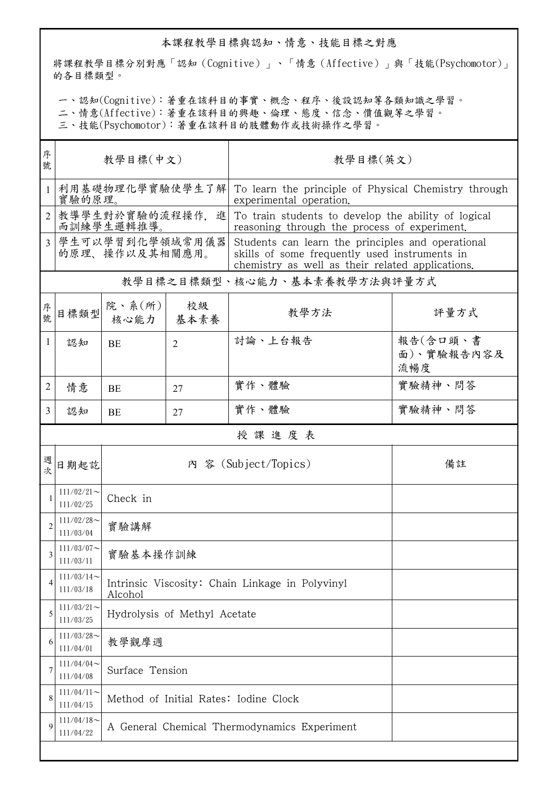## 本課程教學目標與認知、情意、技能目標之對應

將課程教學目標分別對應「認知(Cognitive)」、「情意(Affective)」與「技能(Psychomotor)」 的各目標類型。

一、認知(Cognitive):著重在該科目的事實、概念、程序、後設認知等各類知識之學習。

二、情意(Affective):著重在該科目的興趣、倫理、態度、信念、價值觀等之學習。

三、技能(Psychomotor):著重在該科目的肢體動作或技術操作之學習。

| 序              |                                   |                                                            |                |                                                                                                                                                        |                               |  |  |  |
|----------------|-----------------------------------|------------------------------------------------------------|----------------|--------------------------------------------------------------------------------------------------------------------------------------------------------|-------------------------------|--|--|--|
| 號              | 教學目標(中文)                          |                                                            |                | 教學目標(英文)                                                                                                                                               |                               |  |  |  |
| 1              | 利用基礎物理化學實驗使學生了解<br>實驗的原理。         |                                                            |                | To learn the principle of Physical Chemistry through<br>experimental operation.                                                                        |                               |  |  |  |
|                | 教導學生對於實驗的流程操作,<br>進<br>而訓練學生邏輯推導。 |                                                            |                | To train students to develop the ability of logical<br>reasoning through the process of experiment.                                                    |                               |  |  |  |
| $\overline{3}$ | 學生可以學習到化學領域常用儀器<br>的原理、操作以及其相關應用。 |                                                            |                | Students can learn the principles and operational<br>skills of some frequently used instruments in<br>chemistry as well as their related applications. |                               |  |  |  |
|                | 教學目標之目標類型、核心能力、基本素養教學方法與評量方式      |                                                            |                |                                                                                                                                                        |                               |  |  |  |
| 序號             | 目標類型                              | 院、系 $(\text{m})$<br>核心能力                                   | 校級<br>基本素養     | 教學方法                                                                                                                                                   | 評量方式                          |  |  |  |
| 1              | 認知                                | BE                                                         | $\overline{2}$ | 討論、上台報告                                                                                                                                                | 報告(含口頭、書<br>面)、實驗報告內容及<br>流暢度 |  |  |  |
| $\overline{2}$ | 情意                                | BE                                                         | 27             | 實作、體驗                                                                                                                                                  | 實驗精神、問答                       |  |  |  |
| 3              | 認知                                | <b>BE</b>                                                  | 27             | 實作、體驗                                                                                                                                                  | 實驗精神、問答                       |  |  |  |
|                |                                   |                                                            |                | 授課進度表                                                                                                                                                  |                               |  |  |  |
| 週次             | 日期起訖                              | 內 容 (Subject/Topics)<br>備註                                 |                |                                                                                                                                                        |                               |  |  |  |
|                | $111/02/21$ ~<br>111/02/25        | Check in                                                   |                |                                                                                                                                                        |                               |  |  |  |
| $\overline{2}$ | $111/02/28$ ~<br>111/03/04        | 實驗講解                                                       |                |                                                                                                                                                        |                               |  |  |  |
| 3              | $111/03/07$ ~<br>111/03/11        | 實驗基本操作訓練                                                   |                |                                                                                                                                                        |                               |  |  |  |
| 4              | $111/03/14$ ~<br>111/03/18        | Intrinsic Viscosity: Chain Linkage in Polyvinyl<br>Alcohol |                |                                                                                                                                                        |                               |  |  |  |
| 5              | $111/03/21$ ~<br>111/03/25        | Hydrolysis of Methyl Acetate                               |                |                                                                                                                                                        |                               |  |  |  |
| 6              | $111/03/28$ ~<br>111/04/01        | 教學觀摩週                                                      |                |                                                                                                                                                        |                               |  |  |  |
| 7              | $111/04/04$ ~<br>111/04/08        | Surface Tension                                            |                |                                                                                                                                                        |                               |  |  |  |
| 8              | $111/04/11$ ~<br>111/04/15        | Method of Initial Rates: Iodine Clock                      |                |                                                                                                                                                        |                               |  |  |  |
| 9              | $111/04/18$ ~<br>111/04/22        | A General Chemical Thermodynamics Experiment               |                |                                                                                                                                                        |                               |  |  |  |
|                |                                   |                                                            |                |                                                                                                                                                        |                               |  |  |  |